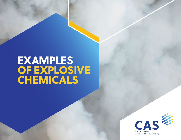## EXAMPLES OF EXPLOSIVE CHEMICALS

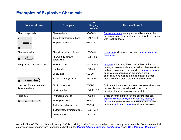## **Examples of Explosive Chemicals**

| <b>Compound class</b>           | <b>Examples</b>                   | <b>CAS</b><br><b>Registry</b><br><b>Number</b> | Nature of hazard                                                                                                  |
|---------------------------------|-----------------------------------|------------------------------------------------|-------------------------------------------------------------------------------------------------------------------|
| Diazo compounds                 | Diazomethane                      | 334-88-3                                       | Diazo compounds are impact-sensitive and may be                                                                   |
| R.<br>N <sub>2</sub>            | Trimethylsilyldiazomethane        | 18107-18-1                                     | friction-sensitive (diazomethane can explode on contact<br>with rough surfaces).                                  |
|                                 | Ethyl diazoacetate                | 623-73-4                                       |                                                                                                                   |
| Diazonium salts                 | Phenyldiazonium chloride          | 100-34-5                                       | Diazonium salts may be explosive depending on the                                                                 |
|                                 | Phenyl-2-diazonium<br>carboxylate | 1608-42-0                                      | counterion.                                                                                                       |
| Inorganic and organic azides    | Sodium azide                      | 26628-22-8                                     | Inorganic azides may be explosive. Lead azide is a                                                                |
|                                 | Lead azide                        | 13424-46-9                                     | primary explosive, while sodium azide is less sensitive<br>and used in airbags in automobiles. Organic azides may |
|                                 | Benzyl azide                      | 622-79-7                                       | be explosive depending on the organic group,<br>particularly in relation to the ratio of azide nitrogen           |
| $R \rightarrow N \rightarrow R$ | 4-azido-L-phenylalanine           | 33173-53-4                                     | atoms to carbon atoms present in the molecule.                                                                    |
| Mixtures of azide salts and     | Dichloromethane                   | 75-09-2                                        | Dichloromethane is susceptible to reactions with strong                                                           |
| dichloromethane                 | Diazidomethane                    | 107585-03-5                                    | nucleophiles such as azide salts; the product<br>diazidomethane is explosive and unstable.                        |
| Peroxides                       | Hydrogen peroxide                 | 7722-84-1                                      | Solids or concentrated solutions of peroxides can                                                                 |
| $R$ — $0$ — $0$ —               | Benzoyl peroxide                  | 94-36-0                                        | explode with loss of oxygen on heating, impact, or<br>friction. Peroxides formed by the oxidation of ethers       |
|                                 | Tert-butyl hydroperoxide          | 75-91-2                                        | in air are friction- and impact-sensitive explosives.                                                             |
|                                 | 1-Ethoxyethyl hydroperoxide       | 18321-53-4                                     |                                                                                                                   |
|                                 | Acetyl peroxide                   | 110-22-5                                       |                                                                                                                   |

As part of the ACS's commitment to safety, CAS is providing this list for educational and public safety purposes only. For more chemical safety resources or substance information, check out the *Pistoia Alliance [Chemical](https://safescience.cas.org/) Safety Library* and *[CAS Common Chemistry](https://commonchemistry.cas.org/)*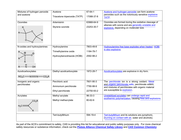| Mixtures of hydrogen peroxide                                       | Acetone                       | 67-64-1    | Acetone and hydrogen peroxide can form acetone                                                            |
|---------------------------------------------------------------------|-------------------------------|------------|-----------------------------------------------------------------------------------------------------------|
| and acetone                                                         | Triacetone triperoxide (TATP) | 17088-37-8 | peroxides such as the notoriously sensitive explosive<br>TATP.                                            |
| <b>Ozonides</b>                                                     | Artemisinin                   | 63968-64-9 | Ozonides are formed during the oxidative cleavage of                                                      |
| R                                                                   | Styrene ozonide               | 23253-30-7 | alkenes with ozone and are generally unstable and<br>explosive, depending on molecular size.              |
| N-oxides and hydroxylamines                                         | Hydroxylamine                 | 7803-49-8  | Hydroxylamine free base explodes when heated. HOBt                                                        |
|                                                                     | Trimethylamine oxide          | 1184-78-7  | is also explosive.                                                                                        |
| OH                                                                  | Hydroxybenzotriazole (HOBt)   | 2592-98-2  |                                                                                                           |
| Azodicarboxylates<br>$RO_2C \rightarrow N \rightarrow N$<br>$-CO2R$ | Diethyl azodicarboxylate      | 1972-28-7  | Azodicarboxylates are explosive in dry form.                                                              |
| Inorganic and organic                                               | Perchloric acid               | 7601-90-3  | The perchlorate ion is a strong oxidant. Metal                                                            |
| perchlorates                                                        | Ammonium perchlorate          | 7790-98-9  | and organic perchlorate salts, perchlorate esters,<br>and mixtures of perchlorates with organic material  |
|                                                                     | Ethyl perchlorate             | 22750-93-2 | are susceptible to explosion.                                                                             |
| Acrylates                                                           | Methyl acrylate               | $96-33-3$  | Unstabilized acrylates can undergo rapid and                                                              |
| CO <sub>2</sub> R<br>$H_2C$                                         | Methyl methacrylate           | 80-62-6    | exothermic polymerization, causing fires and explosions.                                                  |
|                                                                     | Tert-butyllithium             | 594-19-4   | Tert-butyllithium and its solutions are pyrophoric,<br>(burning on contact with air, water and alcohols). |

As part of the ACS's commitment to safety, CAS is providing this list for educational and public safety purposes only. For more chemical safety resources or substance information, check out the *Pistoia Alliance [Chemical](https://safescience.cas.org/) Safety Library* and *[CAS Common Chemistry](https://commonchemistry.cas.org/)*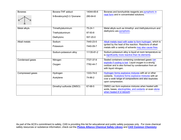| <b>Boranes</b>   | Borane-THF adduct          | 14044-65-6    | Boranes and borohydride reagents are pyrophoric in<br>neat form and in concentrated solutions.                                           |
|------------------|----------------------------|---------------|------------------------------------------------------------------------------------------------------------------------------------------|
|                  | 9-Borabicyclo[3.3.1]nonane | 280-64-8      |                                                                                                                                          |
| Metal alkyls     | Trimethylaluminum          | $75 - 24 - 1$ | Metal alkyls such as trimethyl- and triethylaluminum and                                                                                 |
|                  | Triethylaluminum           | 97-93-8       | diethylzinc are pyrophoric.                                                                                                              |
|                  | Diethylzinc                | 557-20-0      |                                                                                                                                          |
| Alkali metals    | Sodium                     | 7440-23-5     | Alkali metals react with water to form hydrogen, which is                                                                                |
|                  | Potassium                  | 7440-09-7     | ignited by the heat of the reaction. Reactions of alkali<br>metals with a variety of solvents may also cause fires.                      |
|                  | Sodium-potassium alloy     | 11135-81-2    | Sodium-potassium alloy is liquid at room temperature so<br>is significantly more reactive than its elements.                             |
| Condensed gases  | Nitrogen                   | 7727-37-9     | Sealed containers containing condensed gases can                                                                                         |
|                  | Oxygen                     | 7782-44-7     | explode if cooling is lost. Liquid oxygen is a strong<br>oxidizer and is also formed by condensation from air<br>with liquid nitrogen.   |
| Compressed gases | Hydrogen                   | 1333-74-0     | Hydrogen forms explosive mixtures with air or other                                                                                      |
|                  | Acetylene                  | 74-86-2       | oxidants. Acetylene forms explosive mixtures with air<br>over a wide range of compositions and also explodes<br>upon compression.        |
|                  | Dimethyl sulfoxide (DMSO)  | 67-68-5       | DMSO can form explosive mixtures when heated with<br>acids, bases, electrophiles, and oxidants or even alone<br>when heated in a vacuum. |

As part of the ACS's commitment to safety, CAS is providing this list for educational and public safety purposes only. For more chemical safety resources or substance information, check out the *Pistoia Alliance [Chemical](https://safescience.cas.org/) Safety Library* and *[CAS Common Chemistry](https://commonchemistry.cas.org/)*